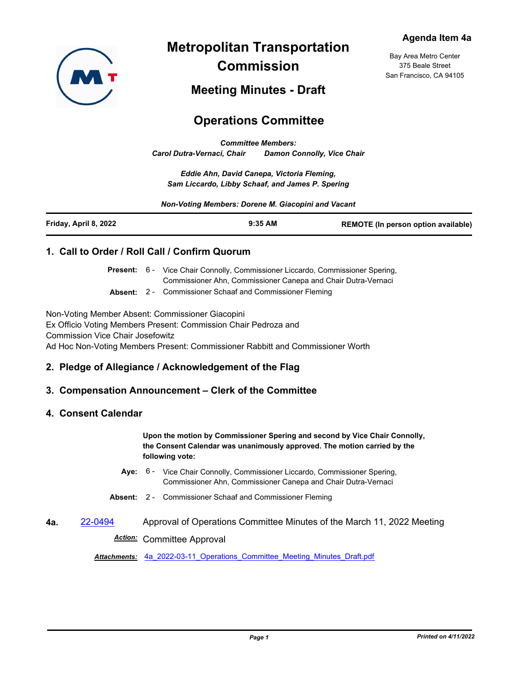

**Metropolitan Transportation Commission**

Bay Area Metro Center 375 Beale Street San Francisco, CA 94105

## **Meeting Minutes - Draft**

# **Operations Committee**

*Committee Members: Carol Dutra-Vernaci, Chair Damon Connolly, Vice Chair*

*Eddie Ahn, David Canepa, Victoria Fleming, Sam Liccardo, Libby Schaaf, and James P. Spering*

*Non-Voting Members: Dorene M. Giacopini and Vacant*

| Friday, April 8, 2022 | $9:35$ AM | <b>REMOTE (In person option available)</b> |
|-----------------------|-----------|--------------------------------------------|
|-----------------------|-----------|--------------------------------------------|

### **1. Call to Order / Roll Call / Confirm Quorum**

Present: 6 - Vice Chair Connolly, Commissioner Liccardo, Commissioner Spering, Commissioner Ahn, Commissioner Canepa and Chair Dutra-Vernaci

**Absent:** 2 - Commissioner Schaaf and Commissioner Fleming

Non-Voting Member Absent: Commissioner Giacopini Ex Officio Voting Members Present: Commission Chair Pedroza and Commission Vice Chair Josefowitz Ad Hoc Non-Voting Members Present: Commissioner Rabbitt and Commissioner Worth

### **2. Pledge of Allegiance / Acknowledgement of the Flag**

### **3. Compensation Announcement – Clerk of the Committee**

#### **4. Consent Calendar**

**Upon the motion by Commissioner Spering and second by Vice Chair Connolly, the Consent Calendar was unanimously approved. The motion carried by the following vote:**

- Aye: 6 Vice Chair Connolly, Commissioner Liccardo, Commissioner Spering, Commissioner Ahn, Commissioner Canepa and Chair Dutra-Vernaci
- **Absent:** 2 Commissioner Schaaf and Commissioner Fleming
- **4a.** [22-0494](http://mtc.legistar.com/gateway.aspx?m=l&id=/matter.aspx?key=23753) Approval of Operations Committee Minutes of the March 11, 2022 Meeting *Action:* Committee Approval

*Attachments:* [4a\\_2022-03-11\\_Operations\\_Committee\\_Meeting\\_Minutes\\_Draft.pdf](http://mtc.legistar.com/gateway.aspx?M=F&ID=b763efd1-e6a1-447f-bd79-df3fa44ce36a.pdf)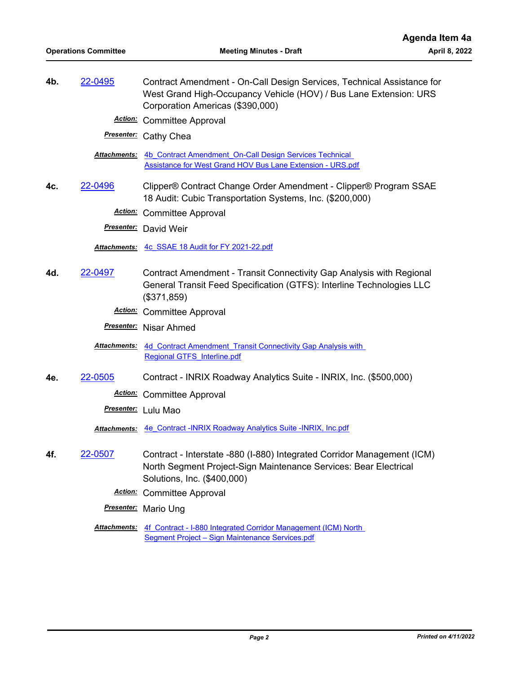**4b.** [22-0495](http://mtc.legistar.com/gateway.aspx?m=l&id=/matter.aspx?key=23754) Contract Amendment - On-Call Design Services, Technical Assistance for West Grand High-Occupancy Vehicle (HOV) / Bus Lane Extension: URS Corporation Americas (\$390,000) *Action:* Committee Approval

*Presenter:* Cathy Chea

Attachments: 4b Contract Amendment On-Call Design Services Technical [Assistance for West Grand HOV Bus Lane Extension - URS.pdf](http://mtc.legistar.com/gateway.aspx?M=F&ID=795e14e2-be2a-4e89-a2f8-9b76876384d0.pdf)

**4c.** [22-0496](http://mtc.legistar.com/gateway.aspx?m=l&id=/matter.aspx?key=23755) Clipper® Contract Change Order Amendment - Clipper® Program SSAE 18 Audit: Cubic Transportation Systems, Inc. (\$200,000)

*Action:* Committee Approval

*Presenter:* David Weir

*Attachments:* [4c\\_SSAE 18 Audit for FY 2021-22.pdf](http://mtc.legistar.com/gateway.aspx?M=F&ID=e30a94f1-7616-4ea5-b138-0ee9acaad659.pdf)

- **4d.** [22-0497](http://mtc.legistar.com/gateway.aspx?m=l&id=/matter.aspx?key=23756) Contract Amendment Transit Connectivity Gap Analysis with Regional General Transit Feed Specification (GTFS): Interline Technologies LLC (\$371,859)
	- *Action:* Committee Approval

*Presenter:* Nisar Ahmed

4d Contract Amendment Transit Connectivity Gap Analysis with Regional GTFS\_Interline.pdf *Attachments:*

**4e.** [22-0505](http://mtc.legistar.com/gateway.aspx?m=l&id=/matter.aspx?key=23764) Contract - INRIX Roadway Analytics Suite - INRIX, Inc. (\$500,000)

*Action:* Committee Approval

*Presenter:* Lulu Mao

*Attachments:* [4e\\_Contract -INRIX Roadway Analytics Suite -INRIX, Inc.pdf](http://mtc.legistar.com/gateway.aspx?M=F&ID=202c0f2e-f203-4646-af8a-b988518ff0ab.pdf)

- **4f.** [22-0507](http://mtc.legistar.com/gateway.aspx?m=l&id=/matter.aspx?key=23766) Contract Interstate -880 (I-880) Integrated Corridor Management (ICM) North Segment Project-Sign Maintenance Services: Bear Electrical Solutions, Inc. (\$400,000)
	- *Action:* Committee Approval
	- *Presenter:* Mario Ung
	- Attachments: 4f Contract I-880 Integrated Corridor Management (ICM) North Segment Project – Sign Maintenance Services.pdf